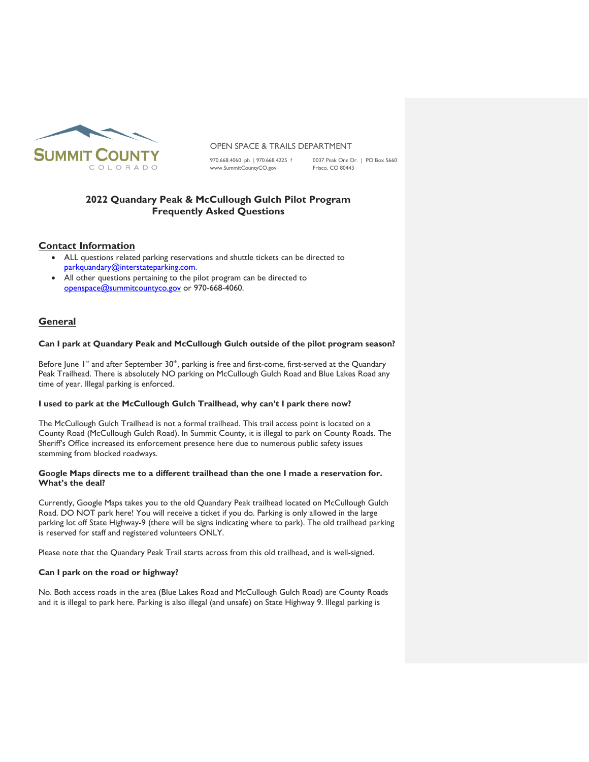

### OPEN SPACE & TRAILS DEPARTMENT

[www.SummitCountyCO.gov](http://www.summitcountyco.gov/)

970.668.4060 ph | 970.668.4225 f 0037 Peak One Dr. | PO Box 5660<br>www.SummitCountyCO.gov Frisco, CO 80443

# **2022 Quandary Peak & McCullough Gulch Pilot Program Frequently Asked Questions**

# **Contact Information**

- ALL questions related parking reservations and shuttle tickets can be directed to [parkquandary@interstateparking.com.](mailto:parkquandary@interstateparking.com)
- All other questions pertaining to the pilot program can be directed to [openspace@summitcountyco.gov](mailto:openspace@summitcountyco.gov) or 970-668-4060.

# **General**

# **Can I park at Quandary Peak and McCullough Gulch outside of the pilot program season?**

Before June 1<sup>st</sup> and after September 30<sup>th</sup>, parking is free and first-come, first-served at the Quandary Peak Trailhead. There is absolutely NO parking on McCullough Gulch Road and Blue Lakes Road any time of year. Illegal parking is enforced.

### **I used to park at the McCullough Gulch Trailhead, why can't I park there now?**

The McCullough Gulch Trailhead is not a formal trailhead. This trail access point is located on a County Road (McCullough Gulch Road). In Summit County, it is illegal to park on County Roads. The Sheriff's Office increased its enforcement presence here due to numerous public safety issues stemming from blocked roadways.

# **Google Maps directs me to a different trailhead than the one I made a reservation for. What's the deal?**

Currently, Google Maps takes you to the old Quandary Peak trailhead located on McCullough Gulch Road. DO NOT park here! You will receive a ticket if you do. Parking is only allowed in the large parking lot off State Highway-9 (there will be signs indicating where to park). The old trailhead parking is reserved for staff and registered volunteers ONLY.

Please note that the Quandary Peak Trail starts across from this old trailhead, and is well-signed.

# **Can I park on the road or highway?**

No. Both access roads in the area (Blue Lakes Road and McCullough Gulch Road) are County Roads and it is illegal to park here. Parking is also illegal (and unsafe) on State Highway 9. Illegal parking is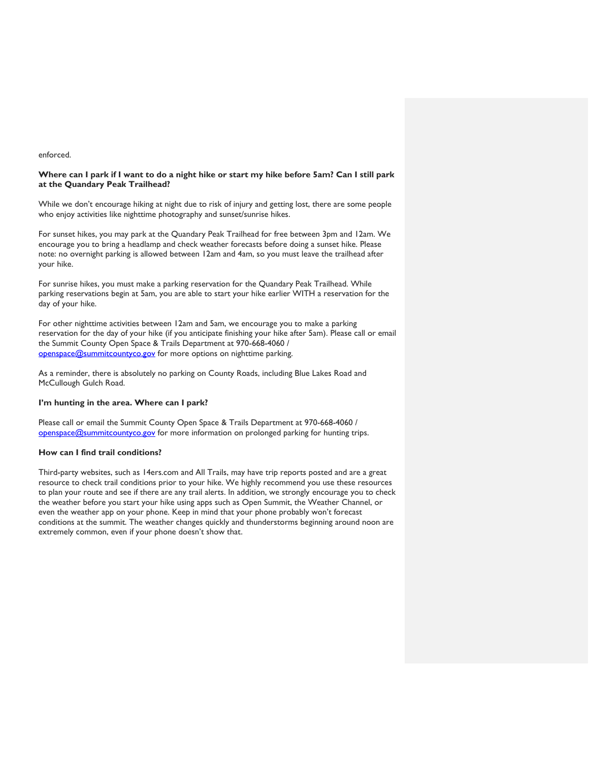#### enforced.

# **Where can I park if I want to do a night hike or start my hike before 5am? Can I still park at the Quandary Peak Trailhead?**

While we don't encourage hiking at night due to risk of injury and getting lost, there are some people who enjoy activities like nighttime photography and sunset/sunrise hikes.

For sunset hikes, you may park at the Quandary Peak Trailhead for free between 3pm and 12am. We encourage you to bring a headlamp and check weather forecasts before doing a sunset hike. Please note: no overnight parking is allowed between 12am and 4am, so you must leave the trailhead after your hike.

For sunrise hikes, you must make a parking reservation for the Quandary Peak Trailhead. While parking reservations begin at 5am, you are able to start your hike earlier WITH a reservation for the day of your hike.

For other nighttime activities between 12am and 5am, we encourage you to make a parking reservation for the day of your hike (if you anticipate finishing your hike after 5am). Please call or email the Summit County Open Space & Trails Department at 970-668-4060 / [openspace@summitcountyco.gov](mailto:openspace@summitcountyco.gov)</u> for more options on nighttime parking.

As a reminder, there is absolutely no parking on County Roads, including Blue Lakes Road and McCullough Gulch Road.

## **I'm hunting in the area. Where can I park?**

Please call or email the Summit County Open Space & Trails Department at 970-668-4060 / [openspace@summitcountyco.gov](mailto:openspace@summitcountyco.gov)</u> for more information on prolonged parking for hunting trips.

#### **How can I find trail conditions?**

Third-party websites, such as 14ers.com and All Trails, may have trip reports posted and are a great resource to check trail conditions prior to your hike. We highly recommend you use these resources to plan your route and see if there are any trail alerts. In addition, we strongly encourage you to check the weather before you start your hike using apps such as Open Summit, the Weather Channel, or even the weather app on your phone. Keep in mind that your phone probably won't forecast conditions at the summit. The weather changes quickly and thunderstorms beginning around noon are extremely common, even if your phone doesn't show that.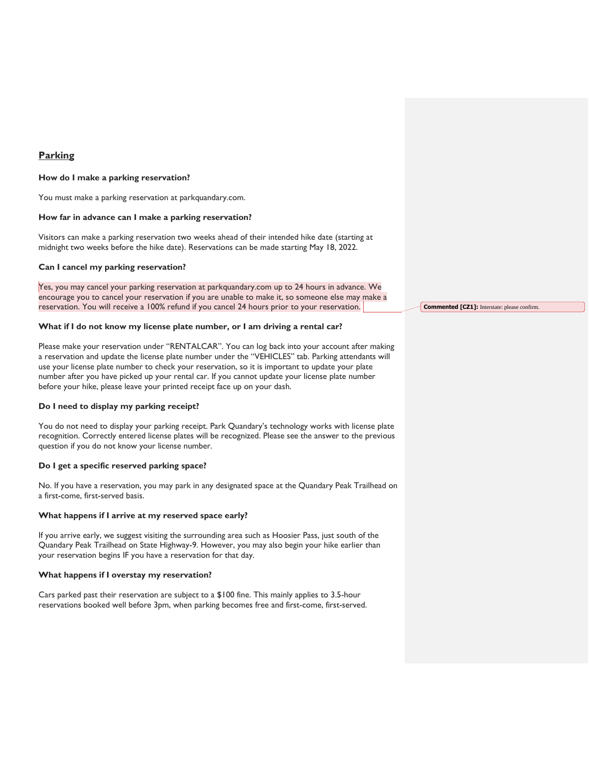# **Parking**

#### **How do I make a parking reservation?**

You must make a parking reservation at parkquandary.com.

#### **How far in advance can I make a parking reservation?**

Visitors can make a parking reservation two weeks ahead of their intended hike date (starting at midnight two weeks before the hike date). Reservations can be made starting May 18, 2022.

## **Can I cancel my parking reservation?**

Yes, you may cancel your parking reservation at parkquandary.com up to 24 hours in advance. We encourage you to cancel your reservation if you are unable to make it, so someone else may make a reservation. You will receive a 100% refund if you cancel 24 hours prior to your reservation.

#### **What if I do not know my license plate number, or I am driving a rental car?**

Please make your reservation under "RENTALCAR". You can log back into your account after making a reservation and update the license plate number under the "VEHICLES" tab. Parking attendants will use your license plate number to check your reservation, so it is important to update your plate number after you have picked up your rental car. If you cannot update your license plate number before your hike, please leave your printed receipt face up on your dash.

#### **Do I need to display my parking receipt?**

You do not need to display your parking receipt. Park Quandary's technology works with license plate recognition. Correctly entered license plates will be recognized. Please see the answer to the previous question if you do not know your license number.

### **Do I get a specific reserved parking space?**

No. If you have a reservation, you may park in any designated space at the Quandary Peak Trailhead on a first-come, first-served basis.

#### **What happens if I arrive at my reserved space early?**

If you arrive early, we suggest visiting the surrounding area such as Hoosier Pass, just south of the Quandary Peak Trailhead on State Highway-9. However, you may also begin your hike earlier than your reservation begins IF you have a reservation for that day.

#### **What happens if I overstay my reservation?**

Cars parked past their reservation are subject to a \$100 fine. This mainly applies to 3.5-hour reservations booked well before 3pm, when parking becomes free and first-come, first-served. **Commented [CZ1]:** Interstate: please confirm.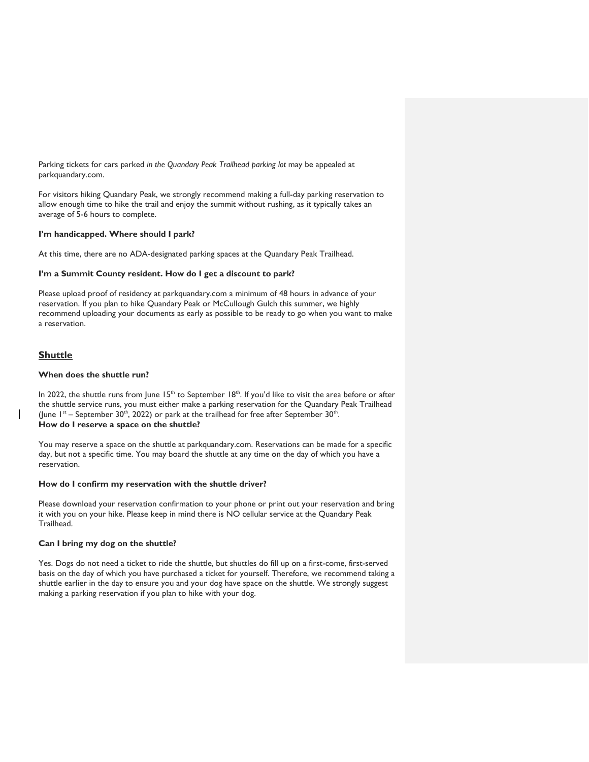Parking tickets for cars parked *in the Quandary Peak Trailhead parking lot* may be appealed at parkquandary.com.

For visitors hiking Quandary Peak, we strongly recommend making a full-day parking reservation to allow enough time to hike the trail and enjoy the summit without rushing, as it typically takes an average of 5-6 hours to complete.

# **I'm handicapped. Where should I park?**

At this time, there are no ADA-designated parking spaces at the Quandary Peak Trailhead.

# **I'm a Summit County resident. How do I get a discount to park?**

Please upload proof of residency at parkquandary.com a minimum of 48 hours in advance of your reservation. If you plan to hike Quandary Peak or McCullough Gulch this summer, we highly recommend uploading your documents as early as possible to be ready to go when you want to make a reservation.

# **Shuttle**

# **When does the shuttle run?**

In 2022, the shuttle runs from June  $15<sup>th</sup>$  to September  $18<sup>th</sup>$ . If you'd like to visit the area before or after the shuttle service runs, you must either make a parking reservation for the Quandary Peak Trailhead (June  $1^{st}$  – September 30<sup>th</sup>, 2022) or park at the trailhead for free after September 30<sup>th</sup>. **How do I reserve a space on the shuttle?**

You may reserve a space on the shuttle at parkquandary.com. Reservations can be made for a specific day, but not a specific time. You may board the shuttle at any time on the day of which you have a reservation.

### **How do I confirm my reservation with the shuttle driver?**

Please download your reservation confirmation to your phone or print out your reservation and bring it with you on your hike. Please keep in mind there is NO cellular service at the Quandary Peak Trailhead.

### **Can I bring my dog on the shuttle?**

Yes. Dogs do not need a ticket to ride the shuttle, but shuttles do fill up on a first-come, first-served basis on the day of which you have purchased a ticket for yourself. Therefore, we recommend taking a shuttle earlier in the day to ensure you and your dog have space on the shuttle. We strongly suggest making a parking reservation if you plan to hike with your dog.